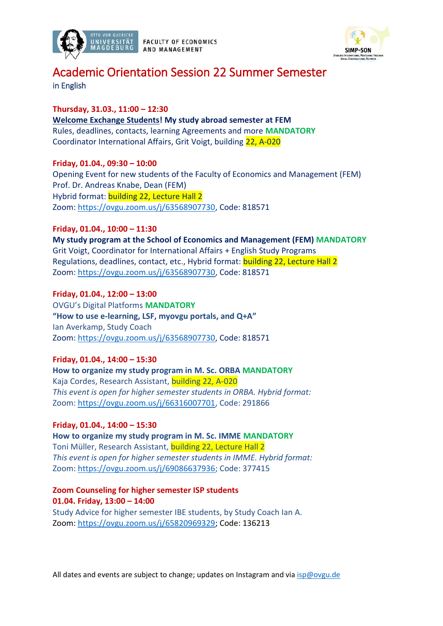

**FACULTY OF ECONOMICS** AND MANAGEMENT



# Academic Orientation Session 22 Summer Semester

in English

## **Thursday, 31.03., 11:00 – 12:30**

**Welcome Exchange Students! My study abroad semester at FEM** Rules, deadlines, contacts, learning Agreements and more **MANDATORY** Coordinator International Affairs, Grit Voigt, building 22, A-020

**Friday, 01.04., 09:30 – 10:00**

Opening Event for new students of the Faculty of Economics and Management (FEM) Prof. Dr. Andreas Knabe, Dean (FEM) Hybrid format: building 22, Lecture Hall 2 Zoom: [https://ovgu.zoom.us/j/63568907730,](https://ovgu.zoom.us/j/63568907730) Code: 818571

## **Friday, 01.04., 10:00 – 11:30**

**My study program at the School of Economics and Management (FEM) MANDATORY** Grit Voigt, Coordinator for International Affairs + English Study Programs Regulations, deadlines, contact, etc., Hybrid format: building 22, Lecture Hall 2 Zoom: [https://ovgu.zoom.us/j/63568907730,](https://ovgu.zoom.us/j/63568907730) Code: 818571

## **Friday, 01.04., 12:00 – 13:00**

OVGU's Digital Platforms **MANDATORY "How to use e-learning, LSF, myovgu portals, and Q+A"** Ian Averkamp, Study Coach Zoom: [https://ovgu.zoom.us/j/63568907730,](https://ovgu.zoom.us/j/63568907730) Code: 818571

## **Friday, 01.04., 14:00 – 15:30**

**How to organize my study program in M. Sc. ORBA MANDATORY** Kaja Cordes, Research Assistant, building 22, A-020 *This event is open for higher semester students in ORBA. Hybrid format:* Zoom: [https://ovgu.zoom.us/j/66316007701,](https://ovgu.zoom.us/j/66316007701) Code: 291866

## **Friday, 01.04., 14:00 – 15:30**

**How to organize my study program in M. Sc. IMME MANDATORY** Toni Müller, Research Assistant, building 22, Lecture Hall 2 *This event is open for higher semester students in IMME. Hybrid format:* Zoom: [https://ovgu.zoom.us/j/69086637936;](https://ovgu.zoom.us/j/69086637936) Code: 377415

#### **Zoom Counseling for higher semester ISP students 01.04. Friday, 13:00 – 14:00**  Study Advice for higher semester IBE students, by Study Coach Ian A. Zoom: [https://ovgu.zoom.us/j/65820969329;](https://ovgu.zoom.us/j/65820969329) Code: 136213

All dates and events are subject to change; updates on Instagram and via  $isp@ovgu.de$